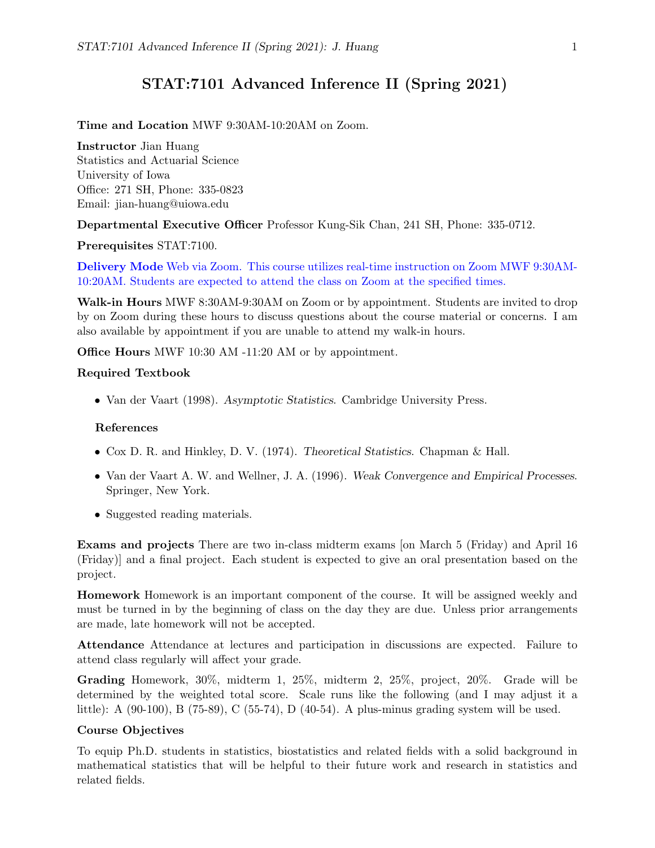# STAT:7101 Advanced Inference II (Spring 2021)

#### Time and Location MWF 9:30AM-10:20AM on Zoom.

Instructor Jian Huang

Statistics and Actuarial Science University of Iowa Office: 271 SH, Phone: 335-0823 Email: jian-huang@uiowa.edu

Departmental Executive Officer Professor Kung-Sik Chan, 241 SH, Phone: 335-0712.

#### Prerequisites STAT:7100.

Delivery Mode Web via Zoom. This course utilizes real-time instruction on Zoom MWF 9:30AM-10:20AM. Students are expected to attend the class on Zoom at the specified times.

Walk-in Hours MWF 8:30AM-9:30AM on Zoom or by appointment. Students are invited to drop by on Zoom during these hours to discuss questions about the course material or concerns. I am also available by appointment if you are unable to attend my walk-in hours.

Office Hours MWF 10:30 AM -11:20 AM or by appointment.

#### Required Textbook

• Van der Vaart (1998). Asymptotic Statistics. Cambridge University Press.

#### References

- Cox D. R. and Hinkley, D. V. (1974). Theoretical Statistics. Chapman & Hall.
- Van der Vaart A. W. and Wellner, J. A. (1996). Weak Convergence and Empirical Processes. Springer, New York.
- Suggested reading materials.

Exams and projects There are two in-class midterm exams [on March 5 (Friday) and April 16 (Friday)] and a final project. Each student is expected to give an oral presentation based on the project.

Homework Homework is an important component of the course. It will be assigned weekly and must be turned in by the beginning of class on the day they are due. Unless prior arrangements are made, late homework will not be accepted.

Attendance Attendance at lectures and participation in discussions are expected. Failure to attend class regularly will affect your grade.

Grading Homework, 30%, midterm 1, 25%, midterm 2, 25%, project, 20%. Grade will be determined by the weighted total score. Scale runs like the following (and I may adjust it a little): A (90-100), B (75-89), C (55-74), D (40-54). A plus-minus grading system will be used.

#### Course Objectives

To equip Ph.D. students in statistics, biostatistics and related fields with a solid background in mathematical statistics that will be helpful to their future work and research in statistics and related fields.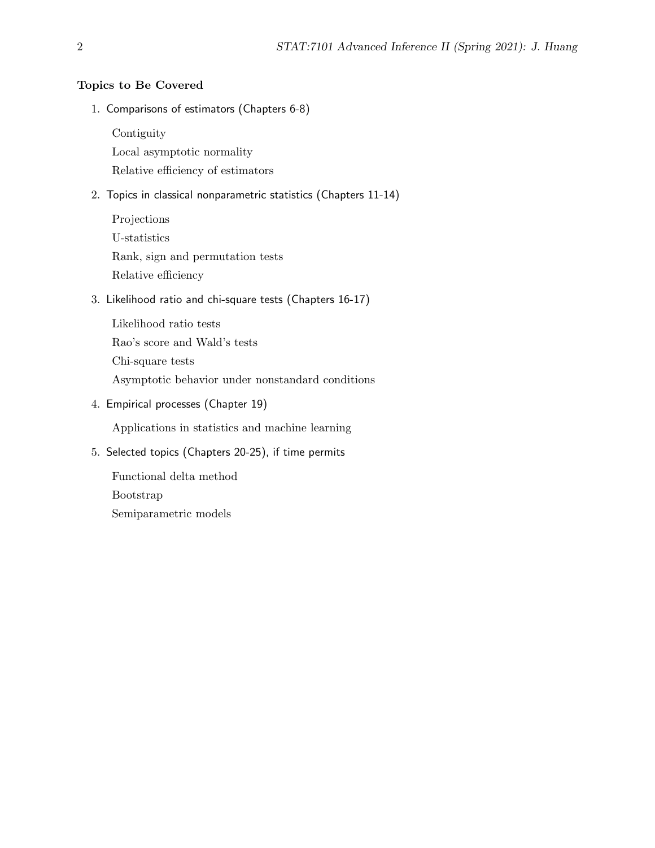### Topics to Be Covered

1. Comparisons of estimators (Chapters 6-8)

Contiguity

Local asymptotic normality Relative efficiency of estimators

- 2. Topics in classical nonparametric statistics (Chapters 11-14)
	- Projections U-statistics Rank, sign and permutation tests Relative efficiency

## 3. Likelihood ratio and chi-square tests (Chapters 16-17)

Likelihood ratio tests Rao's score and Wald's tests Chi-square tests Asymptotic behavior under nonstandard conditions

4. Empirical processes (Chapter 19)

Applications in statistics and machine learning

### 5. Selected topics (Chapters 20-25), if time permits

Functional delta method Bootstrap Semiparametric models